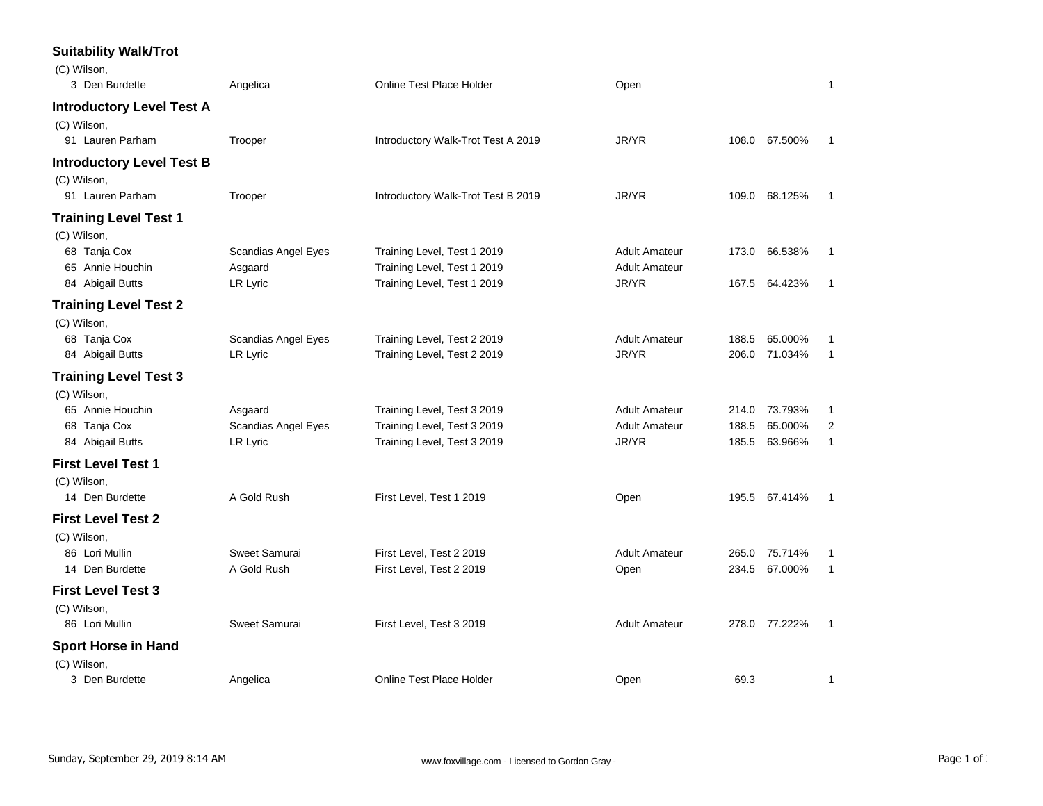## **Suitability Walk/Trot**

| (C) Wilson,                      |                     |                                    |                      |       |               |              |
|----------------------------------|---------------------|------------------------------------|----------------------|-------|---------------|--------------|
| 3 Den Burdette                   | Angelica            | <b>Online Test Place Holder</b>    | Open                 |       |               | 1            |
| <b>Introductory Level Test A</b> |                     |                                    |                      |       |               |              |
| (C) Wilson,                      |                     |                                    |                      |       |               |              |
| 91 Lauren Parham                 | Trooper             | Introductory Walk-Trot Test A 2019 | JR/YR                |       | 108.0 67.500% | -1           |
| <b>Introductory Level Test B</b> |                     |                                    |                      |       |               |              |
| (C) Wilson,                      |                     |                                    |                      |       |               |              |
| 91 Lauren Parham                 | Trooper             | Introductory Walk-Trot Test B 2019 | JR/YR                |       | 109.0 68.125% | 1            |
| <b>Training Level Test 1</b>     |                     |                                    |                      |       |               |              |
| (C) Wilson,                      |                     |                                    |                      |       |               |              |
| 68 Tanja Cox                     | Scandias Angel Eyes | Training Level, Test 1 2019        | <b>Adult Amateur</b> |       | 173.0 66.538% | 1            |
| 65 Annie Houchin                 | Asgaard             | Training Level, Test 1 2019        | <b>Adult Amateur</b> |       |               |              |
| 84 Abigail Butts                 | LR Lyric            | Training Level, Test 1 2019        | JR/YR                | 167.5 | 64.423%       | 1            |
| <b>Training Level Test 2</b>     |                     |                                    |                      |       |               |              |
| (C) Wilson,                      |                     |                                    |                      |       |               |              |
| 68 Tanja Cox                     | Scandias Angel Eyes | Training Level, Test 2 2019        | <b>Adult Amateur</b> | 188.5 | 65.000%       | 1            |
| 84 Abigail Butts                 | LR Lyric            | Training Level, Test 2 2019        | JR/YR                | 206.0 | 71.034%       | 1            |
| <b>Training Level Test 3</b>     |                     |                                    |                      |       |               |              |
| (C) Wilson,                      |                     |                                    |                      |       |               |              |
| 65 Annie Houchin                 | Asgaard             | Training Level, Test 3 2019        | <b>Adult Amateur</b> |       | 214.0 73.793% | 1            |
| 68 Tanja Cox                     | Scandias Angel Eyes | Training Level, Test 3 2019        | <b>Adult Amateur</b> | 188.5 | 65.000%       | 2            |
| 84 Abigail Butts                 | LR Lyric            | Training Level, Test 3 2019        | JR/YR                | 185.5 | 63.966%       | $\mathbf{1}$ |
| <b>First Level Test 1</b>        |                     |                                    |                      |       |               |              |
| (C) Wilson,                      |                     |                                    |                      |       |               |              |
| 14 Den Burdette                  | A Gold Rush         | First Level, Test 1 2019           | Open                 |       | 195.5 67.414% | 1            |
| <b>First Level Test 2</b>        |                     |                                    |                      |       |               |              |
| (C) Wilson,                      |                     |                                    |                      |       |               |              |
| 86 Lori Mullin                   | Sweet Samurai       | First Level, Test 2 2019           | <b>Adult Amateur</b> | 265.0 | 75.714%       | 1            |
| 14 Den Burdette                  | A Gold Rush         | First Level, Test 2 2019           | Open                 | 234.5 | 67.000%       | 1            |
| <b>First Level Test 3</b>        |                     |                                    |                      |       |               |              |
| (C) Wilson,                      |                     |                                    |                      |       |               |              |
| 86 Lori Mullin                   | Sweet Samurai       | First Level, Test 3 2019           | <b>Adult Amateur</b> |       | 278.0 77.222% | 1            |
| <b>Sport Horse in Hand</b>       |                     |                                    |                      |       |               |              |
| (C) Wilson,                      |                     |                                    |                      |       |               |              |
| 3 Den Burdette                   | Angelica            | Online Test Place Holder           | Open                 | 69.3  |               | 1            |
|                                  |                     |                                    |                      |       |               |              |